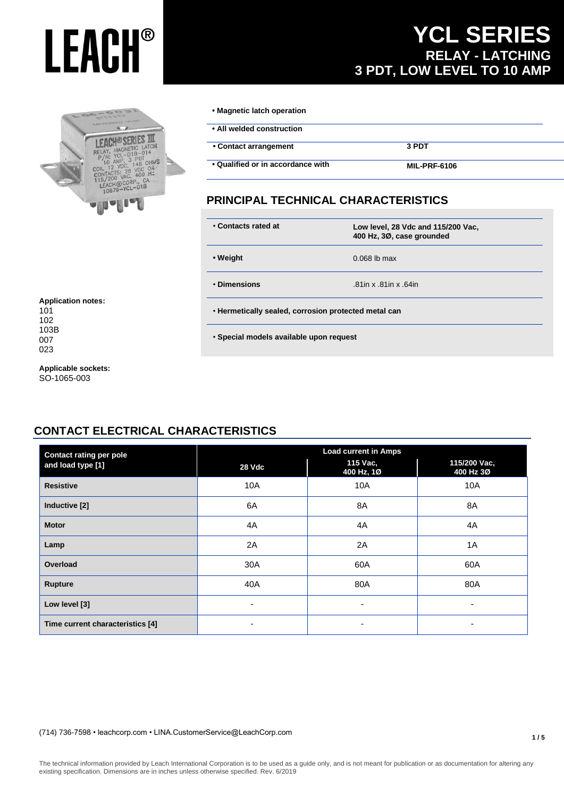

### **YCL SERIES RELAY - LATCHING 3 PDT, LOW LEVEL TO 10 AMP**

| • Magnetic latch operation        |                     |  |
|-----------------------------------|---------------------|--|
| • All welded construction         |                     |  |
| • Contact arrangement             | 3 PDT               |  |
| • Qualified or in accordance with | <b>MIL-PRF-6106</b> |  |

#### **PRINCIPAL TECHNICAL CHARACTERISTICS**

| • Contacts rated at | Low level, 28 Vdc and 115/200 Vac,<br>400 Hz, 3Ø, case grounded |
|---------------------|-----------------------------------------------------------------|
| • Weight            | $0.068$ lb max                                                  |
| • Dimensions        | .81in x .81in x .64in                                           |

• **Special models available upon request**

102 103B 007 023

**Application notes:**

101

**Applicable sockets:** SO-1065-003

#### **CONTACT ELECTRICAL CHARACTERISTICS**

| <b>Contact rating per pole</b>   | <b>Load current in Amps</b> |                        |                           |  |
|----------------------------------|-----------------------------|------------------------|---------------------------|--|
| and load type [1]                | 28 Vdc                      | 115 Vac,<br>400 Hz, 1Ø | 115/200 Vac,<br>400 Hz 3Ø |  |
| <b>Resistive</b>                 | 10A                         | 10A                    | 10A                       |  |
| Inductive [2]                    | 6A                          | 8A                     | 8A                        |  |
| <b>Motor</b>                     | 4A                          | 4A                     | 4A                        |  |
| Lamp                             | 2A                          | 2A                     | 1A                        |  |
| Overload                         | 30A                         | 60A                    | 60A                       |  |
| <b>Rupture</b>                   | 40A                         | 80A                    | 80A                       |  |
| Low level [3]                    | ٠                           | ٠                      | ۰                         |  |
| Time current characteristics [4] | $\overline{\phantom{0}}$    | ۰                      | ۰                         |  |

#### (714) 736-7598 • leachcorp.com • LINA.CustomerService@LeachCorp.com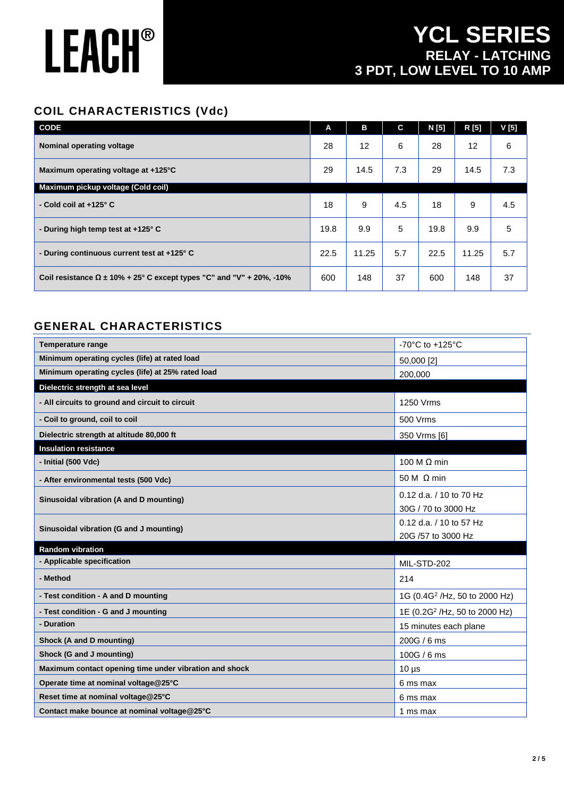## **YCL SERIES RELAY - LATCHING 3 PDT, LOW LEVEL TO 10 AMP**

#### **COIL CHARACTERISTICS (Vdc)**

| <b>CODE</b>                                                                 | A    | в     | C   | N [5] | R [5]             | V [5] |
|-----------------------------------------------------------------------------|------|-------|-----|-------|-------------------|-------|
| Nominal operating voltage                                                   | 28   | 12    | 6   | 28    | $12 \overline{ }$ | 6     |
| Maximum operating voltage at +125°C                                         | 29   | 14.5  | 7.3 | 29    | 14.5              | 7.3   |
| Maximum pickup voltage (Cold coil)                                          |      |       |     |       |                   |       |
| - Cold coil at $+125^\circ$ C                                               | 18   | 9     | 4.5 | 18    | 9                 | 4.5   |
| - During high temp test at +125° C                                          | 19.8 | 9.9   | 5   | 19.8  | 9.9               | 5     |
| - During continuous current test at +125° C                                 | 22.5 | 11.25 | 5.7 | 22.5  | 11.25             | 5.7   |
| Coil resistance $\Omega$ ± 10% + 25° C except types "C" and "V" + 20%, -10% | 600  | 148   | 37  | 600   | 148               | 37    |

#### **GENERAL CHARACTERISTICS**

| <b>Temperature range</b>                               | -70°C to +125°C                                |
|--------------------------------------------------------|------------------------------------------------|
| Minimum operating cycles (life) at rated load          | 50,000 [2]                                     |
| Minimum operating cycles (life) at 25% rated load      | 200,000                                        |
| Dielectric strength at sea level                       |                                                |
| - All circuits to ground and circuit to circuit        | 1250 Vrms                                      |
| - Coil to ground, coil to coil                         | 500 Vrms                                       |
| Dielectric strength at altitude 80,000 ft              | 350 Vrms [6]                                   |
| <b>Insulation resistance</b>                           |                                                |
| - Initial (500 Vdc)                                    | 100 M $\Omega$ min                             |
| - After environmental tests (500 Vdc)                  | 50 M $\Omega$ min                              |
| Sinusoidal vibration (A and D mounting)                | 0.12 d.a. / 10 to 70 Hz<br>30G / 70 to 3000 Hz |
| Sinusoidal vibration (G and J mounting)                | 0.12 d.a. / 10 to 57 Hz<br>20G /57 to 3000 Hz  |
| <b>Random vibration</b>                                |                                                |
| - Applicable specification                             | MIL-STD-202                                    |
| - Method                                               | 214                                            |
| - Test condition - A and D mounting                    | 1G (0.4G <sup>2</sup> /Hz, 50 to 2000 Hz)      |
| - Test condition - G and J mounting                    | 1E (0.2G <sup>2</sup> /Hz, 50 to 2000 Hz)      |
| - Duration                                             | 15 minutes each plane                          |
| Shock (A and D mounting)                               | 200G / 6 ms                                    |
| Shock (G and J mounting)                               | 100G / 6 ms                                    |
| Maximum contact opening time under vibration and shock | $10 \mu s$                                     |
| Operate time at nominal voltage@25°C                   | 6 ms max                                       |
| Reset time at nominal voltage@25°C                     | 6 ms max                                       |
| Contact make bounce at nominal voltage@25°C            | 1 ms max                                       |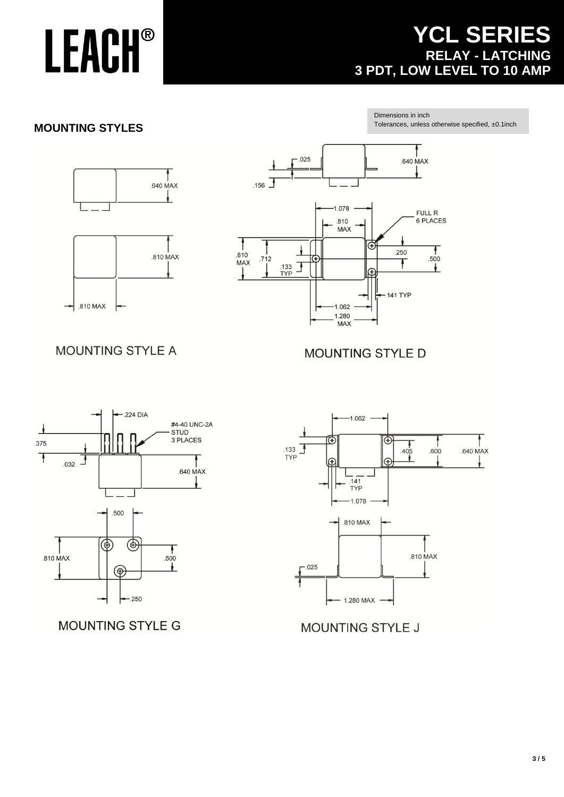## **YCL SERIES RELAY - LATCHING 3 PDT, LOW LEVEL TO 10 AMP**

#### **MOUNTING STYLES**

Dimensions in inch Tolerances, unless otherwise specified, ±0.1inch





#### **MOUNTING STYLE A**

#### **MOUNTING STYLE D**



MOUNTING STYLE G



#### **MOUNTING STYLE J**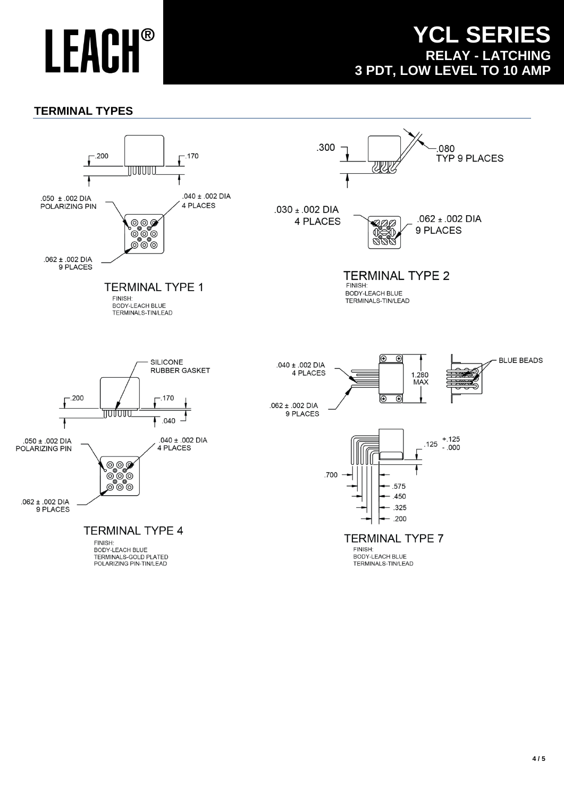### **YCL SERIES RELAY - LATCHING 3 PDT, LOW LEVEL TO 10 AMP**

#### **TERMINAL TYPES**